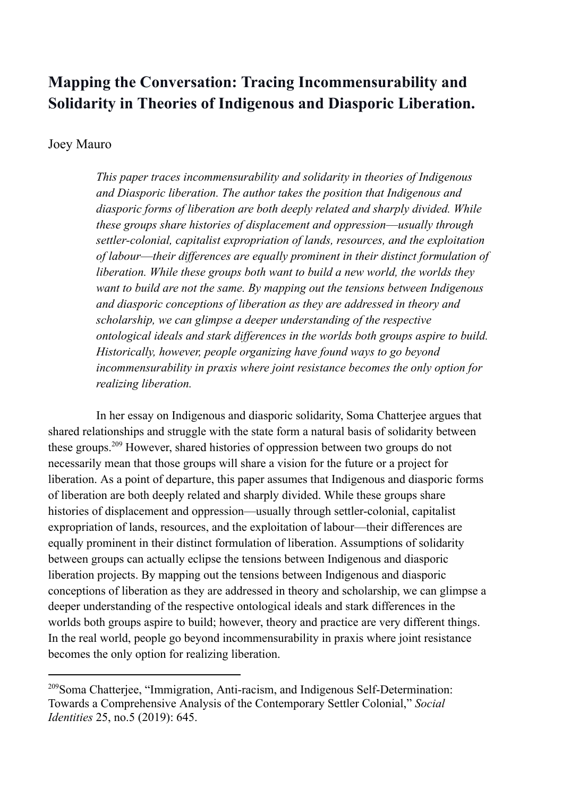# **Mapping the Conversation: Tracing Incommensurability and Solidarity in Theories of Indigenous and Diasporic Liberation.**

## Joey Mauro

*This paper traces incommensurability and solidarity in theories of Indigenous and Diasporic liberation. The author takes the position that Indigenous and diasporic forms of liberation are both deeply related and sharply divided. While these groups share histories of displacement and oppression––usually through settler-colonial, capitalist expropriation of lands, resources, and the exploitation of labour––their differences are equally prominent in their distinct formulation of liberation. While these groups both want to build a new world, the worlds they want to build are not the same. By mapping out the tensions between Indigenous and diasporic conceptions of liberation as they are addressed in theory and scholarship, we can glimpse a deeper understanding of the respective ontological ideals and stark differences in the worlds both groups aspire to build. Historically, however, people organizing have found ways to go beyond incommensurability in praxis where joint resistance becomes the only option for realizing liberation.*

In her essay on Indigenous and diasporic solidarity, Soma Chatterjee argues that shared relationships and struggle with the state form a natural basis of solidarity between these groups.<sup>209</sup> However, shared histories of oppression between two groups do not necessarily mean that those groups will share a vision for the future or a project for liberation. As a point of departure, this paper assumes that Indigenous and diasporic forms of liberation are both deeply related and sharply divided. While these groups share histories of displacement and oppression––usually through settler-colonial, capitalist expropriation of lands, resources, and the exploitation of labour––their differences are equally prominent in their distinct formulation of liberation. Assumptions of solidarity between groups can actually eclipse the tensions between Indigenous and diasporic liberation projects. By mapping out the tensions between Indigenous and diasporic conceptions of liberation as they are addressed in theory and scholarship, we can glimpse a deeper understanding of the respective ontological ideals and stark differences in the worlds both groups aspire to build; however, theory and practice are very different things. In the real world, people go beyond incommensurability in praxis where joint resistance becomes the only option for realizing liberation.

<sup>&</sup>lt;sup>209</sup>Soma Chatteriee, "Immigration, Anti-racism, and Indigenous Self-Determination: Towards a Comprehensive Analysis of the Contemporary Settler Colonial," *Social Identities* 25, no.5 (2019): 645.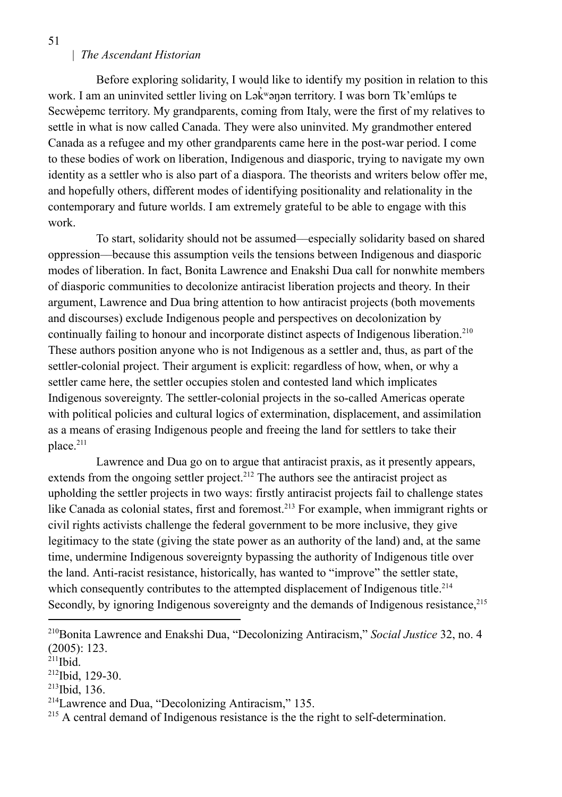Before exploring solidarity, I would like to identify my position in relation to this work. I am an uninvited settler living on Lak<sup>w</sup>ənən territory. I was born Tk'emlúps te Secwev pemc territory. My grandparents, coming from Italy, were the first of my relatives to settle in what is now called Canada. They were also uninvited. My grandmother entered Canada as a refugee and my other grandparents came here in the post-war period. I come to these bodies of work on liberation, Indigenous and diasporic, trying to navigate my own identity as a settler who is also part of a diaspora. The theorists and writers below offer me, and hopefully others, different modes of identifying positionality and relationality in the contemporary and future worlds. I am extremely grateful to be able to engage with this work.

To start, solidarity should not be assumed––especially solidarity based on shared oppression––because this assumption veils the tensions between Indigenous and diasporic modes of liberation. In fact, Bonita Lawrence and Enakshi Dua call for nonwhite members of diasporic communities to decolonize antiracist liberation projects and theory. In their argument, Lawrence and Dua bring attention to how antiracist projects (both movements and discourses) exclude Indigenous people and perspectives on decolonization by continually failing to honour and incorporate distinct aspects of Indigenous liberation.<sup>210</sup> These authors position anyone who is not Indigenous as a settler and, thus, as part of the settler-colonial project. Their argument is explicit: regardless of how, when, or why a settler came here, the settler occupies stolen and contested land which implicates Indigenous sovereignty. The settler-colonial projects in the so-called Americas operate with political policies and cultural logics of extermination, displacement, and assimilation as a means of erasing Indigenous people and freeing the land for settlers to take their place.<sup>211</sup>

Lawrence and Dua go on to argue that antiracist praxis, as it presently appears, extends from the ongoing settler project.<sup>212</sup> The authors see the antiracist project as upholding the settler projects in two ways: firstly antiracist projects fail to challenge states like Canada as colonial states, first and foremost.<sup>213</sup> For example, when immigrant rights or civil rights activists challenge the federal government to be more inclusive, they give legitimacy to the state (giving the state power as an authority of the land) and, at the same time, undermine Indigenous sovereignty bypassing the authority of Indigenous title over the land. Anti-racist resistance, historically, has wanted to "improve" the settler state, which consequently contributes to the attempted displacement of Indigenous title.<sup>214</sup> Secondly, by ignoring Indigenous sovereignty and the demands of Indigenous resistance,<sup>215</sup>

<sup>210</sup>Bonita Lawrence and Enakshi Dua, "Decolonizing Antiracism," *Social Justice* 32, no. 4 (2005): 123.

 $211$ Ibid.

<sup>212</sup> Ibid, 129-30.

<sup>213</sup> Ibid, 136.

<sup>214</sup>Lawrence and Dua, "Decolonizing Antiracism," 135.

<sup>&</sup>lt;sup>215</sup> A central demand of Indigenous resistance is the the right to self-determination.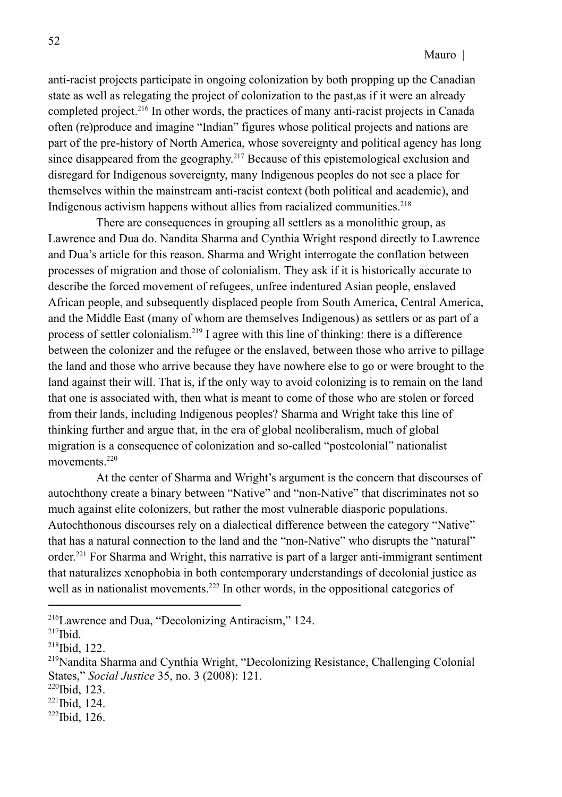anti-racist projects participate in ongoing colonization by both propping up the Canadian state as well as relegating the project of colonization to the past,as if it were an already completed project.<sup>216</sup> In other words, the practices of many anti-racist projects in Canada often (re)produce and imagine "Indian" figures whose political projects and nations are part of the pre-history of North America, whose sovereignty and political agency has long since disappeared from the geography.<sup>217</sup> Because of this epistemological exclusion and disregard for Indigenous sovereignty, many Indigenous peoples do not see a place for themselves within the mainstream anti-racist context (both political and academic), and Indigenous activism happens without allies from racialized communities.<sup>218</sup>

There are consequences in grouping all settlers as a monolithic group, as Lawrence and Dua do. Nandita Sharma and Cynthia Wright respond directly to Lawrence and Dua's article for this reason. Sharma and Wright interrogate the conflation between processes of migration and those of colonialism. They ask if it is historically accurate to describe the forced movement of refugees, unfree indentured Asian people, enslaved African people, and subsequently displaced people from South America, Central America, and the Middle East (many of whom are themselves Indigenous) as settlers or as part of a process of settler colonialism.<sup>219</sup> I agree with this line of thinking: there is a difference between the colonizer and the refugee or the enslaved, between those who arrive to pillage the land and those who arrive because they have nowhere else to go or were brought to the land against their will. That is, if the only way to avoid colonizing is to remain on the land that one is associated with, then what is meant to come of those who are stolen or forced from their lands, including Indigenous peoples? Sharma and Wright take this line of thinking further and argue that, in the era of global neoliberalism, much of global migration is a consequence of colonization and so-called "postcolonial" nationalist movements<sup>220</sup>

At the center of Sharma and Wright's argument is the concern that discourses of autochthony create a binary between "Native" and "non-Native" that discriminates not so much against elite colonizers, but rather the most vulnerable diasporic populations. Autochthonous discourses rely on a dialectical difference between the category "Native" that has a natural connection to the land and the "non-Native" who disrupts the "natural" order.<sup>221</sup> For Sharma and Wright, this narrative is part of a larger anti-immigrant sentiment that naturalizes xenophobia in both contemporary understandings of decolonial justice as well as in nationalist movements.<sup>222</sup> In other words, in the oppositional categories of

 $221$ Ibid, 124.

<sup>216</sup>Lawrence and Dua, "Decolonizing Antiracism," 124.

<sup>217</sup> Ibid.

 $218$  Ibid, 122.

<sup>219</sup>Nandita Sharma and Cynthia Wright, "Decolonizing Resistance, Challenging Colonial States," *Social Justice* 35, no. 3 (2008): 121.

 $220$  Ibid, 123.

 $222$ Ibid, 126.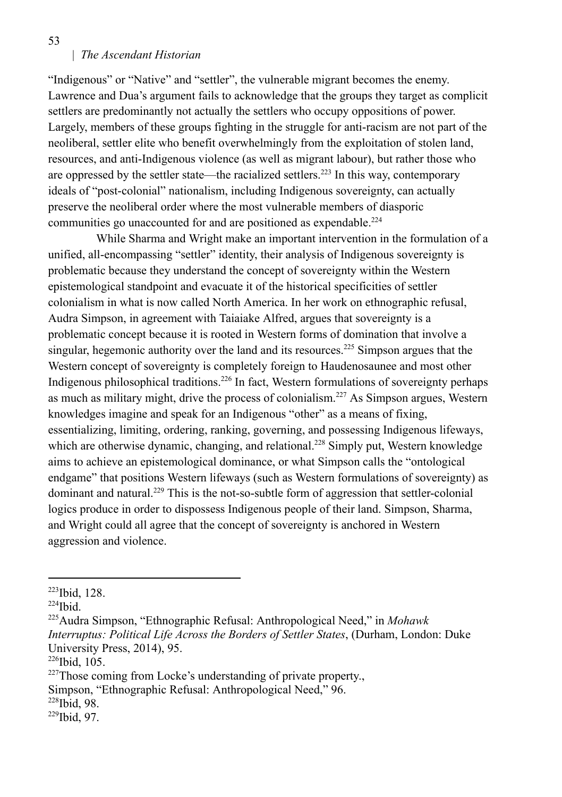"Indigenous" or "Native" and "settler", the vulnerable migrant becomes the enemy. Lawrence and Dua's argument fails to acknowledge that the groups they target as complicit settlers are predominantly not actually the settlers who occupy oppositions of power. Largely, members of these groups fighting in the struggle for anti-racism are not part of the neoliberal, settler elite who benefit overwhelmingly from the exploitation of stolen land, resources, and anti-Indigenous violence (as well as migrant labour), but rather those who are oppressed by the settler state—the racialized settlers.<sup>223</sup> In this way, contemporary ideals of "post-colonial" nationalism, including Indigenous sovereignty, can actually preserve the neoliberal order where the most vulnerable members of diasporic communities go unaccounted for and are positioned as expendable.<sup>224</sup>

While Sharma and Wright make an important intervention in the formulation of a unified, all-encompassing "settler" identity, their analysis of Indigenous sovereignty is problematic because they understand the concept of sovereignty within the Western epistemological standpoint and evacuate it of the historical specificities of settler colonialism in what is now called North America. In her work on ethnographic refusal, Audra Simpson, in agreement with Taiaiake Alfred, argues that sovereignty is a problematic concept because it is rooted in Western forms of domination that involve a singular, hegemonic authority over the land and its resources.<sup>225</sup> Simpson argues that the Western concept of sovereignty is completely foreign to Haudenosaunee and most other Indigenous philosophical traditions.<sup>226</sup> In fact, Western formulations of sovereignty perhaps as much as military might, drive the process of colonialism.<sup>227</sup> As Simpson argues, Western knowledges imagine and speak for an Indigenous "other" as a means of fixing, essentializing, limiting, ordering, ranking, governing, and possessing Indigenous lifeways, which are otherwise dynamic, changing, and relational.<sup>228</sup> Simply put, Western knowledge aims to achieve an epistemological dominance, or what Simpson calls the "ontological endgame" that positions Western lifeways (such as Western formulations of sovereignty) as dominant and natural.<sup>229</sup> This is the not-so-subtle form of aggression that settler-colonial logics produce in order to dispossess Indigenous people of their land. Simpson, Sharma, and Wright could all agree that the concept of sovereignty is anchored in Western aggression and violence.

Simpson, "Ethnographic Refusal: Anthropological Need," 96.

<sup>223</sup> Ibid, 128.

 $224$ Ibid.

<sup>225</sup>Audra Simpson, "Ethnographic Refusal: Anthropological Need," in *Mohawk Interruptus: Political Life Across the Borders of Settler States*, (Durham, London: Duke University Press, 2014), 95.

 $226$  Ibid, 105.

<sup>&</sup>lt;sup>227</sup>Those coming from Locke's understanding of private property.

<sup>228</sup> Ibid, 98.

<sup>229</sup> Ibid, 97.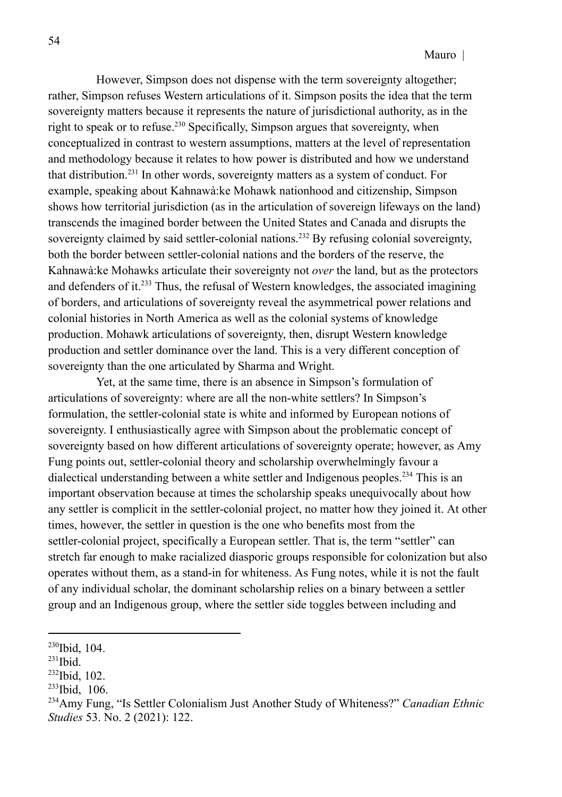However, Simpson does not dispense with the term sovereignty altogether; rather, Simpson refuses Western articulations of it. Simpson posits the idea that the term sovereignty matters because it represents the nature of jurisdictional authority, as in the right to speak or to refuse.<sup>230</sup> Specifically, Simpson argues that sovereignty, when conceptualized in contrast to western assumptions, matters at the level of representation and methodology because it relates to how power is distributed and how we understand that distribution.<sup>231</sup> In other words, sovereignty matters as a system of conduct. For example, speaking about Kahnawà:ke Mohawk nationhood and citizenship, Simpson shows how territorial jurisdiction (as in the articulation of sovereign lifeways on the land) transcends the imagined border between the United States and Canada and disrupts the sovereignty claimed by said settler-colonial nations.<sup>232</sup> By refusing colonial sovereignty, both the border between settler-colonial nations and the borders of the reserve, the Kahnawà:ke Mohawks articulate their sovereignty not *over* the land, but as the protectors and defenders of it.<sup>233</sup> Thus, the refusal of Western knowledges, the associated imagining of borders, and articulations of sovereignty reveal the asymmetrical power relations and colonial histories in North America as well as the colonial systems of knowledge production. Mohawk articulations of sovereignty, then, disrupt Western knowledge production and settler dominance over the land. This is a very different conception of sovereignty than the one articulated by Sharma and Wright.

Yet, at the same time, there is an absence in Simpson's formulation of articulations of sovereignty: where are all the non-white settlers? In Simpson's formulation, the settler-colonial state is white and informed by European notions of sovereignty. I enthusiastically agree with Simpson about the problematic concept of sovereignty based on how different articulations of sovereignty operate; however, as Amy Fung points out, settler-colonial theory and scholarship overwhelmingly favour a dialectical understanding between a white settler and Indigenous peoples.<sup>234</sup> This is an important observation because at times the scholarship speaks unequivocally about how any settler is complicit in the settler-colonial project, no matter how they joined it. At other times, however, the settler in question is the one who benefits most from the settler-colonial project, specifically a European settler. That is, the term "settler" can stretch far enough to make racialized diasporic groups responsible for colonization but also operates without them, as a stand-in for whiteness. As Fung notes, while it is not the fault of any individual scholar, the dominant scholarship relies on a binary between a settler group and an Indigenous group, where the settler side toggles between including and

 $230$  Ibid, 104.

 $^{231}$ Ibid.

 $232$ Ibid, 102.

 $233$  Ibid, 106.

<sup>234</sup>Amy Fung, "Is Settler Colonialism Just Another Study of Whiteness?" *Canadian Ethnic Studies* 53. No. 2 (2021): 122.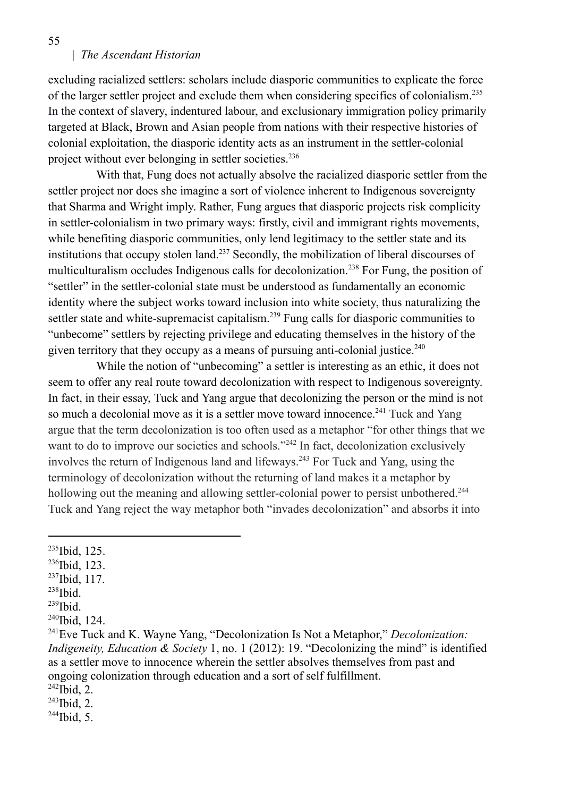excluding racialized settlers: scholars include diasporic communities to explicate the force of the larger settler project and exclude them when considering specifics of colonialism.<sup>235</sup> In the context of slavery, indentured labour, and exclusionary immigration policy primarily targeted at Black, Brown and Asian people from nations with their respective histories of colonial exploitation, the diasporic identity acts as an instrument in the settler-colonial project without ever belonging in settler societies.<sup>236</sup>

With that, Fung does not actually absolve the racialized diasporic settler from the settler project nor does she imagine a sort of violence inherent to Indigenous sovereignty that Sharma and Wright imply. Rather, Fung argues that diasporic projects risk complicity in settler-colonialism in two primary ways: firstly, civil and immigrant rights movements, while benefiting diasporic communities, only lend legitimacy to the settler state and its institutions that occupy stolen land.<sup>237</sup> Secondly, the mobilization of liberal discourses of multiculturalism occludes Indigenous calls for decolonization.<sup>238</sup> For Fung, the position of "settler" in the settler-colonial state must be understood as fundamentally an economic identity where the subject works toward inclusion into white society, thus naturalizing the settler state and white-supremacist capitalism.<sup>239</sup> Fung calls for diasporic communities to "unbecome" settlers by rejecting privilege and educating themselves in the history of the given territory that they occupy as a means of pursuing anti-colonial justice.<sup>240</sup>

While the notion of "unbecoming" a settler is interesting as an ethic, it does not seem to offer any real route toward decolonization with respect to Indigenous sovereignty. In fact, in their essay, Tuck and Yang argue that decolonizing the person or the mind is not so much a decolonial move as it is a settler move toward innocence.<sup>241</sup> Tuck and Yang argue that the term decolonization is too often used as a metaphor "for other things that we want to do to improve our societies and schools."<sup>242</sup> In fact, decolonization exclusively involves the return of Indigenous land and lifeways.<sup>243</sup> For Tuck and Yang, using the terminology of decolonization without the returning of land makes it a metaphor by hollowing out the meaning and allowing settler-colonial power to persist unbothered.<sup>244</sup> Tuck and Yang reject the way metaphor both "invades decolonization" and absorbs it into

- 236 Ibid, 123.
- $237$ Ibid, 117.
- 238 Ibid.
- 239 Ibid.

- $^{242}$ Ibid, 2.
- $^{243}$ Ibid, 2.

<sup>&</sup>lt;sup>235</sup>Ibid, 125.

<sup>&</sup>lt;sup>240</sup>Ibid, 124.

<sup>241</sup>Eve Tuck and K. Wayne Yang, "Decolonization Is Not a Metaphor," *Decolonization: Indigeneity, Education & Society* 1, no. 1 (2012): 19. "Decolonizing the mind" is identified as a settler move to innocence wherein the settler absolves themselves from past and ongoing colonization through education and a sort of self fulfillment.

 $^{244}$ Ibid, 5.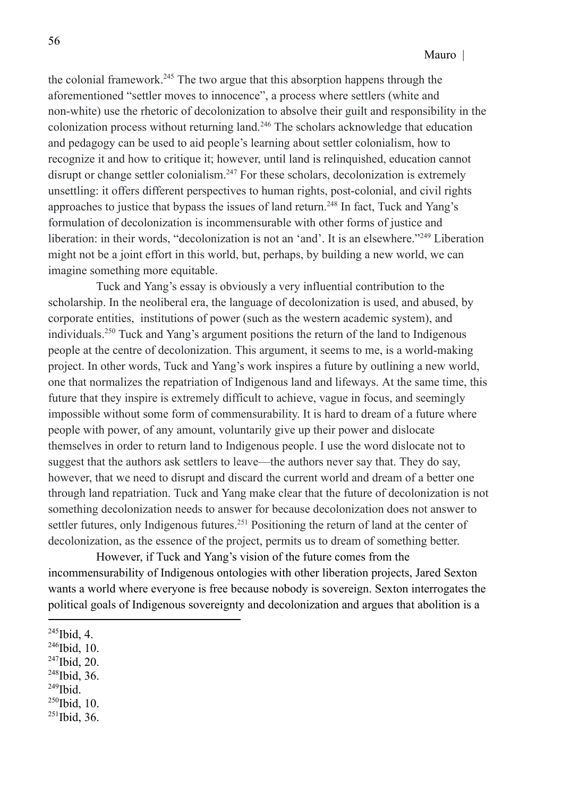the colonial framework.<sup>245</sup> The two argue that this absorption happens through the aforementioned "settler moves to innocence", a process where settlers (white and non-white) use the rhetoric of decolonization to absolve their guilt and responsibility in the colonization process without returning land.<sup>246</sup> The scholars acknowledge that education and pedagogy can be used to aid people's learning about settler colonialism, how to recognize it and how to critique it; however, until land is relinquished, education cannot disrupt or change settler colonialism.<sup>247</sup> For these scholars, decolonization is extremely unsettling: it offers different perspectives to human rights, post-colonial, and civil rights approaches to justice that bypass the issues of land return.<sup>248</sup> In fact, Tuck and Yang's formulation of decolonization is incommensurable with other forms of justice and liberation: in their words, "decolonization is not an 'and'. It is an elsewhere."<sup>249</sup> Liberation might not be a joint effort in this world, but, perhaps, by building a new world, we can imagine something more equitable.

Tuck and Yang's essay is obviously a very influential contribution to the scholarship. In the neoliberal era, the language of decolonization is used, and abused, by corporate entities, institutions of power (such as the western academic system), and individuals.<sup>250</sup> Tuck and Yang's argument positions the return of the land to Indigenous people at the centre of decolonization. This argument, it seems to me, is a world-making project. In other words, Tuck and Yang's work inspires a future by outlining a new world, one that normalizes the repatriation of Indigenous land and lifeways. At the same time, this future that they inspire is extremely difficult to achieve, vague in focus, and seemingly impossible without some form of commensurability. It is hard to dream of a future where people with power, of any amount, voluntarily give up their power and dislocate themselves in order to return land to Indigenous people. I use the word dislocate not to suggest that the authors ask settlers to leave––the authors never say that. They do say, however, that we need to disrupt and discard the current world and dream of a better one through land repatriation. Tuck and Yang make clear that the future of decolonization is not something decolonization needs to answer for because decolonization does not answer to settler futures, only Indigenous futures.<sup>251</sup> Positioning the return of land at the center of decolonization, as the essence of the project, permits us to dream of something better.

However, if Tuck and Yang's vision of the future comes from the incommensurability of Indigenous ontologies with other liberation projects, Jared Sexton wants a world where everyone is free because nobody is sovereign. Sexton interrogates the political goals of Indigenous sovereignty and decolonization and argues that abolition is a

- 246 Ibid, 10.
- $247$ Ibid, 20.
- 248 Ibid, 36.
- 249 Ibid.
- 250 Ibid, 10.
- $^{251}$ Ibid, 36.

<sup>245</sup> Ibid, 4.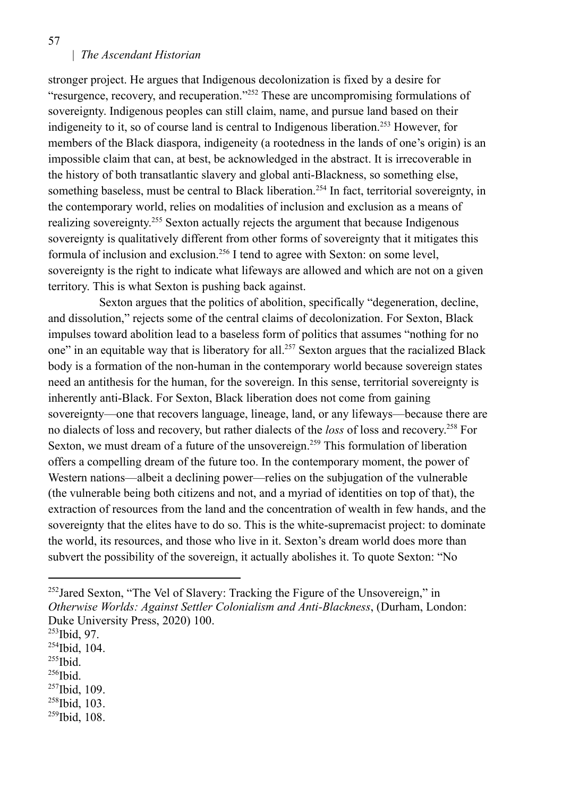stronger project. He argues that Indigenous decolonization is fixed by a desire for "resurgence, recovery, and recuperation."<sup>252</sup> These are uncompromising formulations of sovereignty. Indigenous peoples can still claim, name, and pursue land based on their indigeneity to it, so of course land is central to Indigenous liberation.<sup>253</sup> However, for members of the Black diaspora, indigeneity (a rootedness in the lands of one's origin) is an impossible claim that can, at best, be acknowledged in the abstract. It is irrecoverable in the history of both transatlantic slavery and global anti-Blackness, so something else, something baseless, must be central to Black liberation.<sup>254</sup> In fact, territorial sovereignty, in the contemporary world, relies on modalities of inclusion and exclusion as a means of realizing sovereignty.<sup>255</sup> Sexton actually rejects the argument that because Indigenous sovereignty is qualitatively different from other forms of sovereignty that it mitigates this formula of inclusion and exclusion.<sup>256</sup> I tend to agree with Sexton: on some level, sovereignty is the right to indicate what lifeways are allowed and which are not on a given territory. This is what Sexton is pushing back against.

Sexton argues that the politics of abolition, specifically "degeneration, decline, and dissolution," rejects some of the central claims of decolonization. For Sexton, Black impulses toward abolition lead to a baseless form of politics that assumes "nothing for no one" in an equitable way that is liberatory for all.<sup>257</sup> Sexton argues that the racialized Black body is a formation of the non-human in the contemporary world because sovereign states need an antithesis for the human, for the sovereign. In this sense, territorial sovereignty is inherently anti-Black. For Sexton, Black liberation does not come from gaining sovereignty––one that recovers language, lineage, land, or any lifeways––because there are no dialects of loss and recovery, but rather dialects of the *loss* of loss and recovery. <sup>258</sup> For Sexton, we must dream of a future of the unsovereign.<sup>259</sup> This formulation of liberation offers a compelling dream of the future too. In the contemporary moment, the power of Western nations––albeit a declining power––relies on the subjugation of the vulnerable (the vulnerable being both citizens and not, and a myriad of identities on top of that), the extraction of resources from the land and the concentration of wealth in few hands, and the sovereignty that the elites have to do so. This is the white-supremacist project: to dominate the world, its resources, and those who live in it. Sexton's dream world does more than subvert the possibility of the sovereign, it actually abolishes it. To quote Sexton: "No

- <sup>255</sup>Ibid.
- $257$ Ibid, 109. 256 Ibid.
- 258 Ibid, 103.
- $259$ Ibid, 108.

 $252$ Jared Sexton, "The Vel of Slavery: Tracking the Figure of the Unsovereign," in *Otherwise Worlds: Against Settler Colonialism and Anti-Blackness*, (Durham, London: Duke University Press, 2020) 100.

<sup>253</sup> Ibid, 97.

 $254$ Ibid, 104.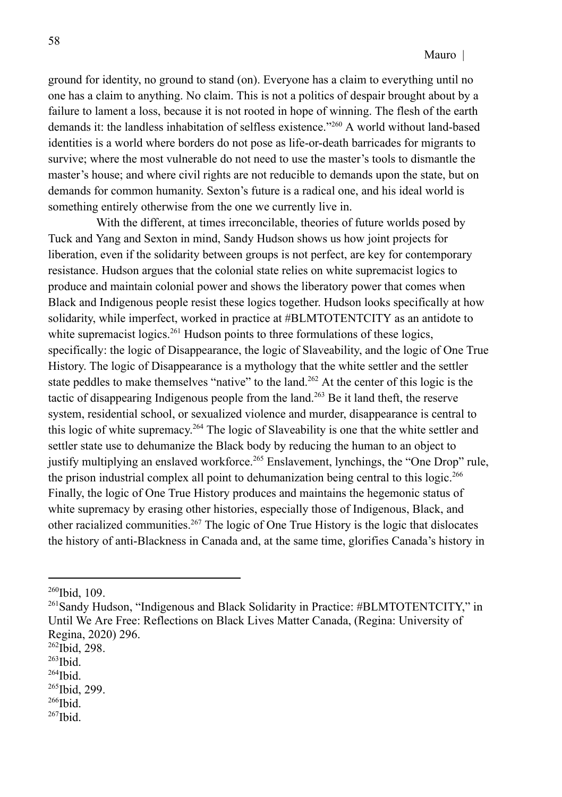ground for identity, no ground to stand (on). Everyone has a claim to everything until no one has a claim to anything. No claim. This is not a politics of despair brought about by a failure to lament a loss, because it is not rooted in hope of winning. The flesh of the earth demands it: the landless inhabitation of selfless existence."<sup>260</sup> A world without land-based identities is a world where borders do not pose as life-or-death barricades for migrants to survive; where the most vulnerable do not need to use the master's tools to dismantle the master's house; and where civil rights are not reducible to demands upon the state, but on demands for common humanity. Sexton's future is a radical one, and his ideal world is something entirely otherwise from the one we currently live in.

With the different, at times irreconcilable, theories of future worlds posed by Tuck and Yang and Sexton in mind, Sandy Hudson shows us how joint projects for liberation, even if the solidarity between groups is not perfect, are key for contemporary resistance. Hudson argues that the colonial state relies on white supremacist logics to produce and maintain colonial power and shows the liberatory power that comes when Black and Indigenous people resist these logics together. Hudson looks specifically at how solidarity, while imperfect, worked in practice at #BLMTOTENTCITY as an antidote to white supremacist logics.<sup>261</sup> Hudson points to three formulations of these logics, specifically: the logic of Disappearance, the logic of Slaveability, and the logic of One True History. The logic of Disappearance is a mythology that the white settler and the settler state peddles to make themselves "native" to the land.<sup>262</sup> At the center of this logic is the tactic of disappearing Indigenous people from the land.<sup>263</sup> Be it land theft, the reserve system, residential school, or sexualized violence and murder, disappearance is central to this logic of white supremacy.<sup>264</sup> The logic of Slaveability is one that the white settler and settler state use to dehumanize the Black body by reducing the human to an object to justify multiplying an enslaved workforce.<sup>265</sup> Enslavement, lynchings, the "One Drop" rule, the prison industrial complex all point to dehumanization being central to this logic.<sup>266</sup> Finally, the logic of One True History produces and maintains the hegemonic status of white supremacy by erasing other histories, especially those of Indigenous, Black, and other racialized communities.<sup>267</sup> The logic of One True History is the logic that dislocates the history of anti-Blackness in Canada and, at the same time, glorifies Canada's history in

<sup>260</sup> Ibid, 109.

<sup>&</sup>lt;sup>261</sup>Sandy Hudson, "Indigenous and Black Solidarity in Practice: #BLMTOTENTCITY," in Until We Are Free: Reflections on Black Lives Matter Canada, (Regina: University of Regina, 2020) 296.

<sup>&</sup>lt;sup>262</sup>Ibid, 298.

<sup>263</sup> Ibid.

<sup>265</sup> Ibid, 299. 264 Ibid.

<sup>266</sup> Ibid.

<sup>267</sup> Ibid.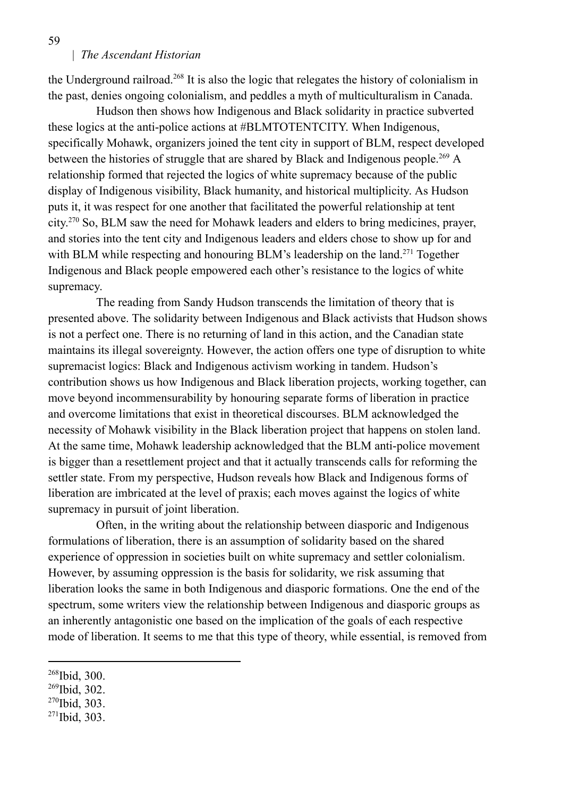the Underground railroad.<sup>268</sup> It is also the logic that relegates the history of colonialism in the past, denies ongoing colonialism, and peddles a myth of multiculturalism in Canada.

Hudson then shows how Indigenous and Black solidarity in practice subverted these logics at the anti-police actions at #BLMTOTENTCITY. When Indigenous, specifically Mohawk, organizers joined the tent city in support of BLM, respect developed between the histories of struggle that are shared by Black and Indigenous people.<sup>269</sup> A relationship formed that rejected the logics of white supremacy because of the public display of Indigenous visibility, Black humanity, and historical multiplicity. As Hudson puts it, it was respect for one another that facilitated the powerful relationship at tent city. <sup>270</sup> So, BLM saw the need for Mohawk leaders and elders to bring medicines, prayer, and stories into the tent city and Indigenous leaders and elders chose to show up for and with BLM while respecting and honouring BLM's leadership on the land.<sup>271</sup> Together Indigenous and Black people empowered each other's resistance to the logics of white supremacy.

The reading from Sandy Hudson transcends the limitation of theory that is presented above. The solidarity between Indigenous and Black activists that Hudson shows is not a perfect one. There is no returning of land in this action, and the Canadian state maintains its illegal sovereignty. However, the action offers one type of disruption to white supremacist logics: Black and Indigenous activism working in tandem. Hudson's contribution shows us how Indigenous and Black liberation projects, working together, can move beyond incommensurability by honouring separate forms of liberation in practice and overcome limitations that exist in theoretical discourses. BLM acknowledged the necessity of Mohawk visibility in the Black liberation project that happens on stolen land. At the same time, Mohawk leadership acknowledged that the BLM anti-police movement is bigger than a resettlement project and that it actually transcends calls for reforming the settler state. From my perspective, Hudson reveals how Black and Indigenous forms of liberation are imbricated at the level of praxis; each moves against the logics of white supremacy in pursuit of joint liberation.

Often, in the writing about the relationship between diasporic and Indigenous formulations of liberation, there is an assumption of solidarity based on the shared experience of oppression in societies built on white supremacy and settler colonialism. However, by assuming oppression is the basis for solidarity, we risk assuming that liberation looks the same in both Indigenous and diasporic formations. One the end of the spectrum, some writers view the relationship between Indigenous and diasporic groups as an inherently antagonistic one based on the implication of the goals of each respective mode of liberation. It seems to me that this type of theory, while essential, is removed from

- 269 Ibid, 302.
- 270 Ibid, 303.
- 271 Ibid, 303.

<sup>268</sup> Ibid, 300.